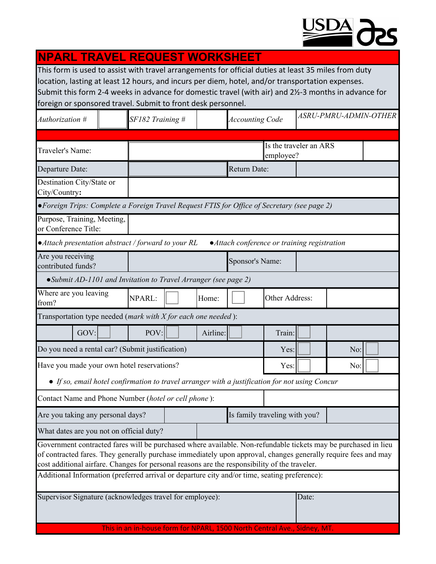

| <b>NPARL TRAVEL REQUEST WORKSHEET</b>                                                                                                                                                                                                                                                                                                                                           |                               |                  |  |          |                                     |      |                        |     |                       |  |  |
|---------------------------------------------------------------------------------------------------------------------------------------------------------------------------------------------------------------------------------------------------------------------------------------------------------------------------------------------------------------------------------|-------------------------------|------------------|--|----------|-------------------------------------|------|------------------------|-----|-----------------------|--|--|
| This form is used to assist with travel arrangements for official duties at least 35 miles from duty<br>location, lasting at least 12 hours, and incurs per diem, hotel, and/or transportation expenses.<br>Submit this form 2-4 weeks in advance for domestic travel (with air) and 2½-3 months in advance for<br>foreign or sponsored travel. Submit to front desk personnel. |                               |                  |  |          |                                     |      |                        |     |                       |  |  |
| Authorization #                                                                                                                                                                                                                                                                                                                                                                 |                               | SF182 Training # |  |          |                                     |      | <b>Accounting Code</b> |     | ASRU-PMRU-ADMIN-OTHER |  |  |
|                                                                                                                                                                                                                                                                                                                                                                                 |                               |                  |  |          |                                     |      |                        |     |                       |  |  |
| Traveler's Name:                                                                                                                                                                                                                                                                                                                                                                |                               |                  |  |          | Is the traveler an ARS<br>employee? |      |                        |     |                       |  |  |
| Departure Date:                                                                                                                                                                                                                                                                                                                                                                 |                               | Return Date:     |  |          |                                     |      |                        |     |                       |  |  |
| Destination City/State or<br>City/Country:                                                                                                                                                                                                                                                                                                                                      |                               |                  |  |          |                                     |      |                        |     |                       |  |  |
| • Foreign Trips: Complete a Foreign Travel Request FTIS for Office of Secretary (see page 2)                                                                                                                                                                                                                                                                                    |                               |                  |  |          |                                     |      |                        |     |                       |  |  |
| Purpose, Training, Meeting,<br>or Conference Title:                                                                                                                                                                                                                                                                                                                             |                               |                  |  |          |                                     |      |                        |     |                       |  |  |
| • Attach presentation abstract / forward to your RL<br>• Attach conference or training registration                                                                                                                                                                                                                                                                             |                               |                  |  |          |                                     |      |                        |     |                       |  |  |
| Are you receiving<br>contributed funds?                                                                                                                                                                                                                                                                                                                                         |                               |                  |  |          | Sponsor's Name:                     |      |                        |     |                       |  |  |
| • Submit AD-1101 and Invitation to Travel Arranger (see page 2)                                                                                                                                                                                                                                                                                                                 |                               |                  |  |          |                                     |      |                        |     |                       |  |  |
| Where are you leaving<br>from?                                                                                                                                                                                                                                                                                                                                                  |                               | NPARL:<br>Home:  |  |          | Other Address:                      |      |                        |     |                       |  |  |
| Transportation type needed ( <i>mark with X for each one needed</i> ):                                                                                                                                                                                                                                                                                                          |                               |                  |  |          |                                     |      |                        |     |                       |  |  |
| GOV:                                                                                                                                                                                                                                                                                                                                                                            |                               | POV:             |  | Airline: |                                     |      | Train:                 |     |                       |  |  |
| Do you need a rental car? (Submit justification)                                                                                                                                                                                                                                                                                                                                |                               |                  |  |          |                                     | Yes: |                        | No: |                       |  |  |
| Have you made your own hotel reservations?                                                                                                                                                                                                                                                                                                                                      |                               |                  |  |          |                                     | Yes: |                        | No: |                       |  |  |
| • If so, email hotel confirmation to travel arranger with a justification for not using Concur                                                                                                                                                                                                                                                                                  |                               |                  |  |          |                                     |      |                        |     |                       |  |  |
| Contact Name and Phone Number (hotel or cell phone):                                                                                                                                                                                                                                                                                                                            |                               |                  |  |          |                                     |      |                        |     |                       |  |  |
| Are you taking any personal days?                                                                                                                                                                                                                                                                                                                                               | Is family traveling with you? |                  |  |          |                                     |      |                        |     |                       |  |  |
| What dates are you not on official duty?                                                                                                                                                                                                                                                                                                                                        |                               |                  |  |          |                                     |      |                        |     |                       |  |  |
| Government contracted fares will be purchased where available. Non-refundable tickets may be purchased in lieu<br>of contracted fares. They generally purchase immediately upon approval, changes generally require fees and may<br>cost additional airfare. Changes for personal reasons are the responsibility of the traveler.                                               |                               |                  |  |          |                                     |      |                        |     |                       |  |  |
| Additional Information (preferred arrival or departure city and/or time, seating preference):                                                                                                                                                                                                                                                                                   |                               |                  |  |          |                                     |      |                        |     |                       |  |  |
| Supervisor Signature (acknowledges travel for employee):<br>Date:                                                                                                                                                                                                                                                                                                               |                               |                  |  |          |                                     |      |                        |     |                       |  |  |
| This in an in-house form for NPARL, 1500 North Central Ave., Sidney, MT.                                                                                                                                                                                                                                                                                                        |                               |                  |  |          |                                     |      |                        |     |                       |  |  |